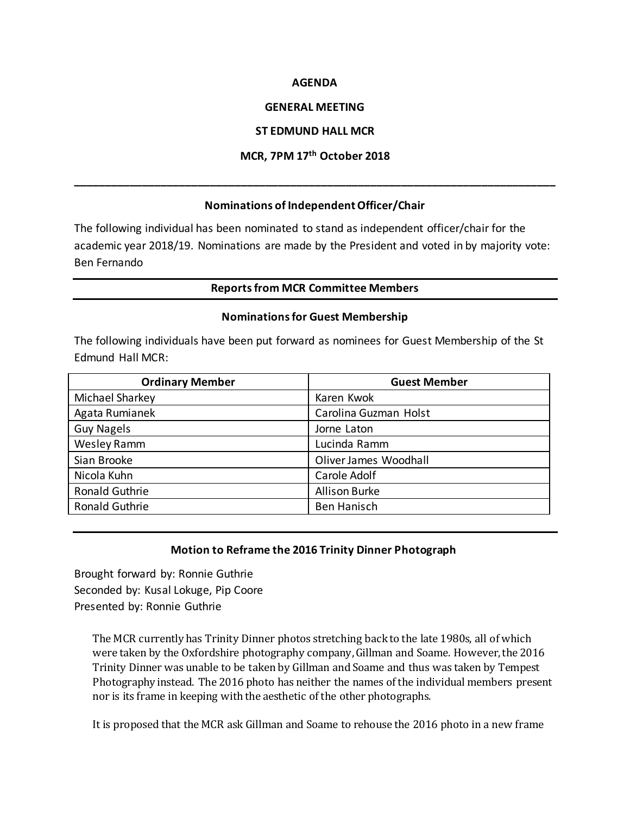## **AGENDA**

## **GENERAL MEETING**

#### **ST EDMUND HALL MCR**

# **MCR, 7PM 17th October 2018**

#### **Nominations of Independent Officer/Chair**

**\_\_\_\_\_\_\_\_\_\_\_\_\_\_\_\_\_\_\_\_\_\_\_\_\_\_\_\_\_\_\_\_\_\_\_\_\_\_\_\_\_\_\_\_\_\_\_\_\_\_\_\_\_\_\_\_\_\_\_\_\_\_\_\_\_\_\_\_\_\_\_\_\_\_\_\_\_\_**

The following individual has been nominated to stand as independent officer/chair for the academic year 2018/19. Nominations are made by the President and voted in by majority vote: Ben Fernando

#### **Reports from MCR Committee Members**

#### **Nominations for Guest Membership**

The following individuals have been put forward as nominees for Guest Membership of the St Edmund Hall MCR:

| <b>Ordinary Member</b> | <b>Guest Member</b>   |
|------------------------|-----------------------|
| Michael Sharkey        | Karen Kwok            |
| Agata Rumianek         | Carolina Guzman Holst |
| <b>Guy Nagels</b>      | Jorne Laton           |
| <b>Wesley Ramm</b>     | Lucinda Ramm          |
| Sian Brooke            | Oliver James Woodhall |
| Nicola Kuhn            | Carole Adolf          |
| Ronald Guthrie         | <b>Allison Burke</b>  |
| <b>Ronald Guthrie</b>  | Ben Hanisch           |

## **Motion to Reframe the 2016 Trinity Dinner Photograph**

Brought forward by: Ronnie Guthrie Seconded by: Kusal Lokuge, Pip Coore Presented by: Ronnie Guthrie

The MCR currently has Trinity Dinner photos stretching back to the late 1980s, all of which were taken by the Oxfordshire photography company, Gillman and Soame. However, the 2016 Trinity Dinner was unable to be taken by Gillman and Soame and thus was taken by Tempest Photography instead. The 2016 photo has neither the names of the individual members present nor is its frame in keeping with the aesthetic of the other photographs.

It is proposed that the MCR ask Gillman and Soame to rehouse the 2016 photo in a new frame